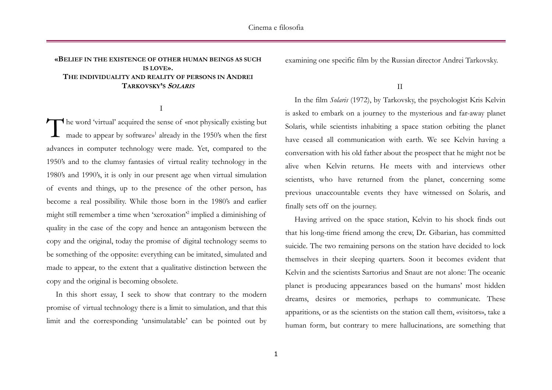# **«BELIEF IN THE EXISTENCE OF OTHER HUMAN BEINGS AS SUCH IS LOVE». THE INDIVIDUALITY AND REALITY OF PERSONS IN ANDREI TARKOVSKY'S SOLARIS**

I

The word 'virtual' acquired the sense of «not physically existing but made to appear by software»<sup>1</sup> already in the 1950's when the first made to appear by software» 1 already in the 1950's when the first advances in computer technology were made. Yet, compared to the 1950's and to the clumsy fantasies of virtual reality technology in the 1980's and 1990's, it is only in our present age when virtual simulation of events and things, up to the presence of the other person, has become a real possibility. While those born in the 1980's and earlier might still remember a time when 'xeroxation' 2 implied a diminishing of quality in the case of the copy and hence an antagonism between the copy and the original, today the promise of digital technology seems to be something of the opposite: everything can be imitated, simulated and made to appear, to the extent that a qualitative distinction between the copy and the original is becoming obsolete.

In this short essay, I seek to show that contrary to the modern promise of virtual technology there is a limit to simulation, and that this limit and the corresponding 'unsimulatable' can be pointed out by

examining one specific film by the Russian director Andrei Tarkovsky.

II

In the film *Solaris* (1972), by Tarkovsky, the psychologist Kris Kelvin is asked to embark on a journey to the mysterious and far-away planet Solaris, while scientists inhabiting a space station orbiting the planet have ceased all communication with earth. We see Kelvin having a conversation with his old father about the prospect that he might not be alive when Kelvin returns. He meets with and interviews other scientists, who have returned from the planet, concerning some previous unaccountable events they have witnessed on Solaris, and finally sets off on the journey.

Having arrived on the space station, Kelvin to his shock finds out that his long-time friend among the crew, Dr. Gibarian, has committed suicide. The two remaining persons on the station have decided to lock themselves in their sleeping quarters. Soon it becomes evident that Kelvin and the scientists Sartorius and Snaut are not alone: The oceanic planet is producing appearances based on the humans' most hidden dreams, desires or memories, perhaps to communicate. These apparitions, or as the scientists on the station call them, «visitors», take a human form, but contrary to mere hallucinations, are something that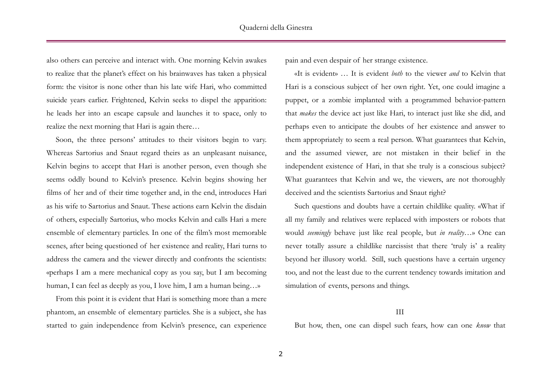also others can perceive and interact with. One morning Kelvin awakes to realize that the planet's effect on his brainwaves has taken a physical form: the visitor is none other than his late wife Hari, who committed suicide years earlier. Frightened, Kelvin seeks to dispel the apparition: he leads her into an escape capsule and launches it to space, only to realize the next morning that Hari is again there…

Soon, the three persons' attitudes to their visitors begin to vary. Whereas Sartorius and Snaut regard theirs as an unpleasant nuisance, Kelvin begins to accept that Hari is another person, even though she seems oddly bound to Kelvin's presence. Kelvin begins showing her films of her and of their time together and, in the end, introduces Hari as his wife to Sartorius and Snaut. These actions earn Kelvin the disdain of others, especially Sartorius, who mocks Kelvin and calls Hari a mere ensemble of elementary particles. In one of the film's most memorable scenes, after being questioned of her existence and reality, Hari turns to address the camera and the viewer directly and confronts the scientists: «perhaps I am a mere mechanical copy as you say, but I am becoming human, I can feel as deeply as you, I love him, I am a human being…»

From this point it is evident that Hari is something more than a mere phantom, an ensemble of elementary particles. She is a subject, she has started to gain independence from Kelvin's presence, can experience pain and even despair of her strange existence.

«It is evident» … It is evident *both* to the viewer *and* to Kelvin that Hari is a conscious subject of her own right. Yet, one could imagine a puppet, or a zombie implanted with a programmed behavior-pattern that *makes* the device act just like Hari, to interact just like she did, and perhaps even to anticipate the doubts of her existence and answer to them appropriately to seem a real person. What guarantees that Kelvin, and the assumed viewer, are not mistaken in their belief in the independent existence of Hari, in that she truly is a conscious subject? What guarantees that Kelvin and we, the viewers, are not thoroughly deceived and the scientists Sartorius and Snaut right?

Such questions and doubts have a certain childlike quality. «What if all my family and relatives were replaced with imposters or robots that would *seemingly* behave just like real people, but *in reality*…» One can never totally assure a childlike narcissist that there 'truly is' a reality beyond her illusory world. Still, such questions have a certain urgency too, and not the least due to the current tendency towards imitation and simulation of events, persons and things.

## III

But how, then, one can dispel such fears, how can one *know* that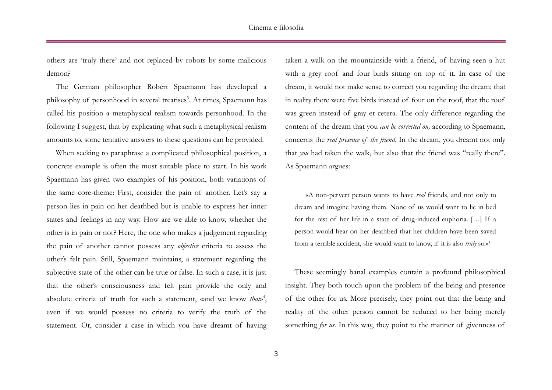others are 'truly there' and not replaced by robots by some malicious demon?

The German philosopher Robert Spaemann has developed a philosophy of personhood in several treatises<sup>3</sup>. At times, Spaemann has called his position a metaphysical realism towards personhood. In the following I suggest, that by explicating what such a metaphysical realism amounts to, some tentative answers to these questions can be provided.

When seeking to paraphrase a complicated philosophical position, a concrete example is often the most suitable place to start. In his work Spaemann has given two examples of his position, both variations of the same core-theme: First, consider the pain of another. Let's say a person lies in pain on her deathbed but is unable to express her inner states and feelings in any way. How are we able to know, whether the other is in pain or not? Here, the one who makes a judgement regarding the pain of another cannot possess any *objective* criteria to assess the other's felt pain. Still, Spaemann maintains, a statement regarding the subjective state of the other can be true or false. In such a case, it is just that the other's consciousness and felt pain provide the only and absolute criteria of truth for such a statement, «and we know *that*»<sup>4</sup>, even if we would possess no criteria to verify the truth of the statement. Or, consider a case in which you have dreamt of having

taken a walk on the mountainside with a friend, of having seen a hut with a grey roof and four birds sitting on top of it. In case of the dream, it would not make sense to correct you regarding the dream; that in reality there were five birds instead of four on the roof, that the roof was green instead of gray et cetera. The only difference regarding the content of the dream that you *can be corrected on,* according to Spaemann, concerns the *real presence of the friend*. In the dream, you dreamt not only that *you* had taken the walk, but also that the friend was "really there". As Spaemann argues:

«A non-pervert person wants to have *real* friends, and not only to dream and imagine having them. None of us would want to lie in bed for the rest of her life in a state of drug-induced euphoria. […] If a person would hear on her deathbed that her children have been saved from a terrible accident, she would want to know, if it is also *truly* so.» 5

These seemingly banal examples contain a profound philosophical insight. They both touch upon the problem of the being and presence of the other for us. More precisely, they point out that the being and reality of the other person cannot be reduced to her being merely something *for us.* In this way, they point to the manner of givenness of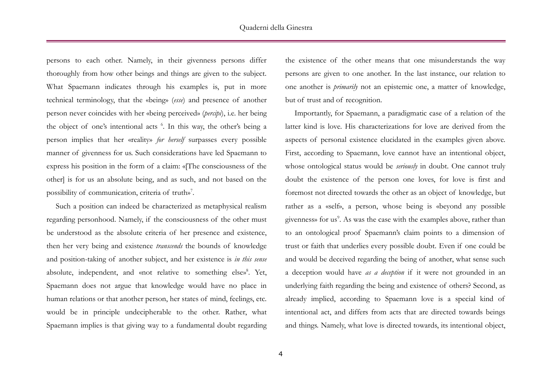persons to each other. Namely, in their givenness persons differ thoroughly from how other beings and things are given to the subject. What Spaemann indicates through his examples is, put in more technical terminology, that the «being» (*esse*) and presence of another person never coincides with her «being perceived» (*percipi*), i.e. her being the object of one's intentional acts <sup>6</sup>. In this way, the other's being a person implies that her «reality» *for herself* surpasses every possible manner of givenness for us. Such considerations have led Spaemann to express his position in the form of a claim: «[The consciousness of the other] is for us an absolute being, and as such, and not based on the possibility of communication, criteria of truth» 7 .

Such a position can indeed be characterized as metaphysical realism regarding personhood. Namely, if the consciousness of the other must be understood as the absolute criteria of her presence and existence, then her very being and existence *transcends* the bounds of knowledge and position-taking of another subject, and her existence is *in this sense*  absolute, independent, and «not relative to something else»<sup>8</sup>. Yet, Spaemann does not argue that knowledge would have no place in human relations or that another person, her states of mind, feelings, etc. would be in principle undecipherable to the other. Rather, what Spaemann implies is that giving way to a fundamental doubt regarding the existence of the other means that one misunderstands the way persons are given to one another. In the last instance, our relation to one another is *primarily* not an epistemic one, a matter of knowledge, but of trust and of recognition.

Importantly, for Spaemann, a paradigmatic case of a relation of the latter kind is love. His characterizations for love are derived from the aspects of personal existence elucidated in the examples given above. First, according to Spaemann, love cannot have an intentional object, whose ontological status would be *seriously* in doubt. One cannot truly doubt the existence of the person one loves, for love is first and foremost not directed towards the other as an object of knowledge, but rather as a «self», a person, whose being is «beyond any possible givenness» for us<sup>9</sup>. As was the case with the examples above, rather than to an ontological proof Spaemann's claim points to a dimension of trust or faith that underlies every possible doubt. Even if one could be and would be deceived regarding the being of another, what sense such a deception would have *as a deception* if it were not grounded in an underlying faith regarding the being and existence of others? Second, as already implied, according to Spaemann love is a special kind of intentional act, and differs from acts that are directed towards beings and things. Namely, what love is directed towards, its intentional object,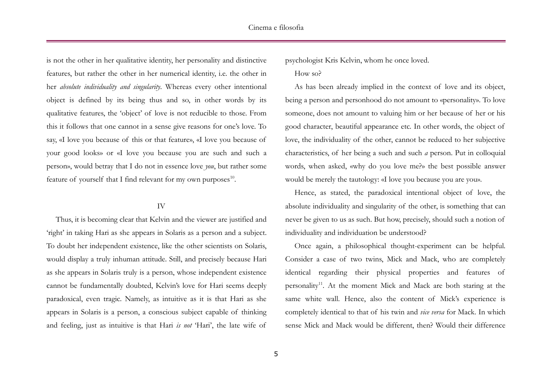is not the other in her qualitative identity, her personality and distinctive features, but rather the other in her numerical identity, i.e. the other in her *absolute individuality and singularity*. Whereas every other intentional object is defined by its being thus and so, in other words by its qualitative features, the 'object' of love is not reducible to those. From this it follows that one cannot in a sense give reasons for one's love. To say, «I love you because of this or that feature», «I love you because of your good looks» or «I love you because you are such and such a person», would betray that I do not in essence love *you*, but rather some feature of yourself that I find relevant for my own purposes<sup>10</sup>.

### IV

Thus, it is becoming clear that Kelvin and the viewer are justified and 'right' in taking Hari as she appears in Solaris as a person and a subject. To doubt her independent existence, like the other scientists on Solaris, would display a truly inhuman attitude. Still, and precisely because Hari as she appears in Solaris truly is a person, whose independent existence cannot be fundamentally doubted, Kelvin's love for Hari seems deeply paradoxical, even tragic. Namely, as intuitive as it is that Hari as she appears in Solaris is a person, a conscious subject capable of thinking and feeling, just as intuitive is that Hari *is not* 'Hari', the late wife of

psychologist Kris Kelvin, whom he once loved.

How so?

As has been already implied in the context of love and its object, being a person and personhood do not amount to «personality». To love someone, does not amount to valuing him or her because of her or his good character, beautiful appearance etc. In other words, the object of love, the individuality of the other, cannot be reduced to her subjective characteristics, of her being a such and such *a* person. Put in colloquial words, when asked, «why do you love me?» the best possible answer would be merely the tautology: «I love you because you are you».

Hence, as stated, the paradoxical intentional object of love, the absolute individuality and singularity of the other, is something that can never be given to us as such. But how, precisely, should such a notion of individuality and individuation be understood?

Once again, a philosophical thought-experiment can be helpful. Consider a case of two twins, Mick and Mack, who are completely identical regarding their physical properties and features of personality<sup>11</sup>. At the moment Mick and Mack are both staring at the same white wall. Hence, also the content of Mick's experience is completely identical to that of his twin and *vice versa* for Mack. In which sense Mick and Mack would be different, then? Would their difference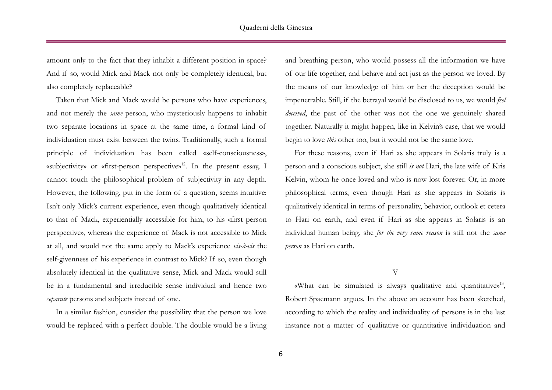amount only to the fact that they inhabit a different position in space? And if so, would Mick and Mack not only be completely identical, but also completely replaceable?

Taken that Mick and Mack would be persons who have experiences, and not merely the *same* person, who mysteriously happens to inhabit two separate locations in space at the same time, a formal kind of individuation must exist between the twins. Traditionally, such a formal principle of individuation has been called «self-consciousness», «subjectivity» or «first-person perspective» <sup>12</sup>. In the present essay, I cannot touch the philosophical problem of subjectivity in any depth. However, the following, put in the form of a question, seems intuitive: Isn't only Mick's current experience, even though qualitatively identical to that of Mack, experientially accessible for him, to his «first person perspective», whereas the experience of Mack is not accessible to Mick at all, and would not the same apply to Mack's experience *vis-à-vis* the self-givenness of his experience in contrast to Mick? If so, even though absolutely identical in the qualitative sense, Mick and Mack would still be in a fundamental and irreducible sense individual and hence two *separate* persons and subjects instead of one.

In a similar fashion, consider the possibility that the person we love would be replaced with a perfect double. The double would be a living

and breathing person, who would possess all the information we have of our life together, and behave and act just as the person we loved. By the means of our knowledge of him or her the deception would be impenetrable. Still, if the betrayal would be disclosed to us, we would *feel deceived*, the past of the other was not the one we genuinely shared together. Naturally it might happen, like in Kelvin's case, that we would begin to love *this* other too, but it would not be the same love.

For these reasons, even if Hari as she appears in Solaris truly is a person and a conscious subject, she still *is not* Hari, the late wife of Kris Kelvin, whom he once loved and who is now lost forever. Or, in more philosophical terms, even though Hari as she appears in Solaris is qualitatively identical in terms of personality, behavior, outlook et cetera to Hari on earth, and even if Hari as she appears in Solaris is an individual human being, she *for the very same reason* is still not the *same person* as Hari on earth.

#### V

«What can be simulated is always qualitative and quantitative» 13 , Robert Spaemann argues. In the above an account has been sketched, according to which the reality and individuality of persons is in the last instance not a matter of qualitative or quantitative individuation and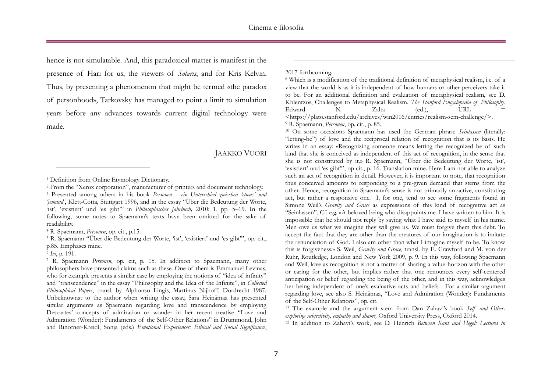hence is not simulatable. And, this paradoxical matter is manifest in the presence of Hari for us, the viewers of *Solaris*, and for Kris Kelvin. Thus, by presenting a phenomenon that might be termed «the paradox of personhood», Tarkovsky has managed to point a limit to simulation years before any advances towards current digital technology were made.

## JAAKKO VUORI

-

### 2017 forthcoming.

-

<sup>8</sup> Which is a modification of the traditional definition of metaphysical realism, i.e. of a view that the world is as it is independent of how humans or other perceivers take it to be. For an additional definition and evaluation of metaphysical realism, see D. Khlentzos, Challenges to Metaphysical Realism. *The Stanford Encyclopedia of Philosophy*.<br>
Edward N. Zalta (ed.). URL = Edward N. Zalta (ed.), URL = <https://plato.stanford.edu/archives/win2016/entries/realism-sem-challenge/>. <sup>9</sup> R. Spaemann, *Personen*, op. cit., p. 85.

<sup>10</sup> On some occasions Spaemann has used the German phrase *Seinlassen* (literally: "letting-be") of love and the reciprocal relation of recognition that is its basis. He writes in an essay: «Recognizing someone means letting the recognized be of such kind that she is conceived as independent of this act of recognition, in the sense that she is not constituted by it.» R. Spaemann, "Über die Bedeutung der Worte, 'ist', 'existiert' und 'es gibt'", op cit., p. 16. Translation mine. Here I am not able to analyze such an act of recognition in detail. However, it is important to note, that recognition thus conceived amounts to responding to a pre-given demand that stems from the other. Hence, recognition in Spaemann's sense is not primarily an active, constituting act, but rather a responsive one. I, for one, tend to see some fragments found in Simone Weil's *Gravity and Grace* as expressions of this kind of recognitive act as "Seinlassen". Cf. e.g. «A beloved being who disappoints me. I have written to him. It is impossible that he should not reply by saying what I have said to myself in his name. Men owe us what we imagine they will give us. We must forgive them this debt. To accept the fact that they are other than the creatures of our imagination is to imitate the renunciation of God. I also am other than what I imagine myself to be. To know this is forgiveness.» S. Weil, *Gravity and Grace*, transl. by E. Crawford and M. von der Ruhr, Routledge, London and New York 2009, p. 9. In this way, following Spaemann and Weil, love as recognition is not a matter of sharing a value-horizon with the other or caring for the other, but implies rather that one renounces every self-centered anticipation or belief regarding the being of the other, and in this way, acknowledges her being independent of one's evaluative acts and beliefs. For a similar argument regarding love, see also S. Heinämaa, "Love and Admiration (Wonder): Fundaments of the Self-Other Relations", op. cit.

<sup>11</sup> The example and the argument stem from Dan Zahavi's book *Self and Other: exploring subjectivity, empathy and shame,* Oxford University Press, Oxford 2014.

<sup>12</sup> In addition to Zahavi's work, see D. Henrich *Between Kant and Hegel: Lectures in* 

<sup>1</sup> Definition from Online Etymology Dictionary.

<sup>2</sup> From the "Xerox corporation", manufacturer of printers and document technology.

<sup>3</sup> Presented among others in his book *Personen – ein Unterschied zwischen 'etwas' und 'jemand'*, Klett-Cotta, Stuttgart 1996, and in the essay "Über die Bedeutung der Worte, 'ist', 'existiert' und 'es gibt'" in *Philosophisches Jahrbuch,* 2010: 1, pp. 5–19. In the following, some notes to Spaemann's texts have been omitted for the sake of readability.

<sup>4</sup> R. Spaemann, *Personen*, op. cit., p.15.

<sup>&</sup>lt;sup>5</sup> R. Spaemann "Über die Bedeutung der Worte, 'ist', 'existiert' und 'es gibt'", op. cit., p.85. Emphases mine.

<sup>6</sup> *Ivi*, p. 191.

<sup>7</sup> R. Spaemann *Personen*, op. cit, p. 15. In addition to Spaemann, many other philosophers have presented claims such as these. One of them is Emmanuel Levinas, who for example presents a similar case by employing the notions of "idea of infinity" and "transcendence" in the essay "Philosophy and the Idea of the Infinite", in *Collected Philosophical Papers*, transl. by Alphonso Lingis, Martinus Nijhoff, Dordrecht 1987. Unbeknownst to the author when writing the essay, Sara Heinämaa has presented similar arguments as Spaemann regarding love and transcendence by employing Descartes' concepts of admiration or wonder in her recent treatise "Love and Admiration (Wonder): Fundaments of the Self-Other Relations" in Drummond, John and Rinofner-Kreidl, Sonja (eds.) *Emotional Experiences: Ethical and Social Significance*,